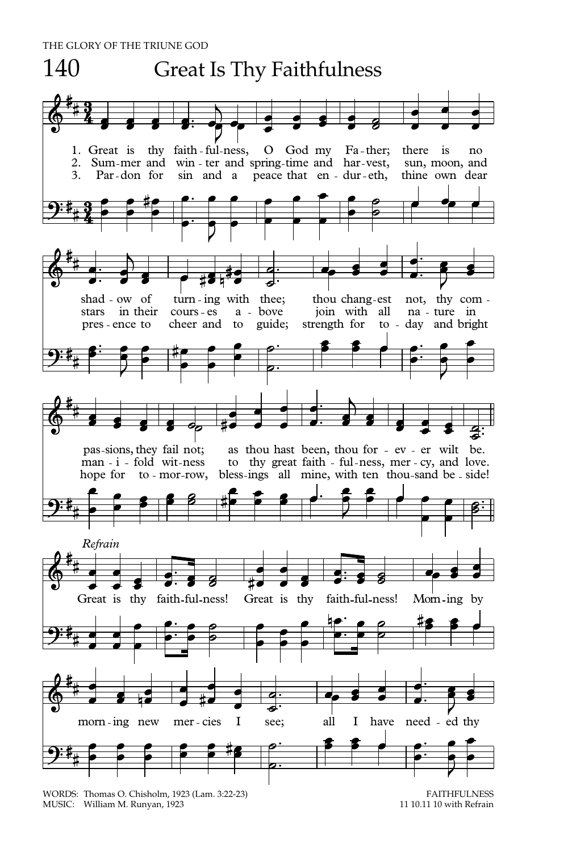